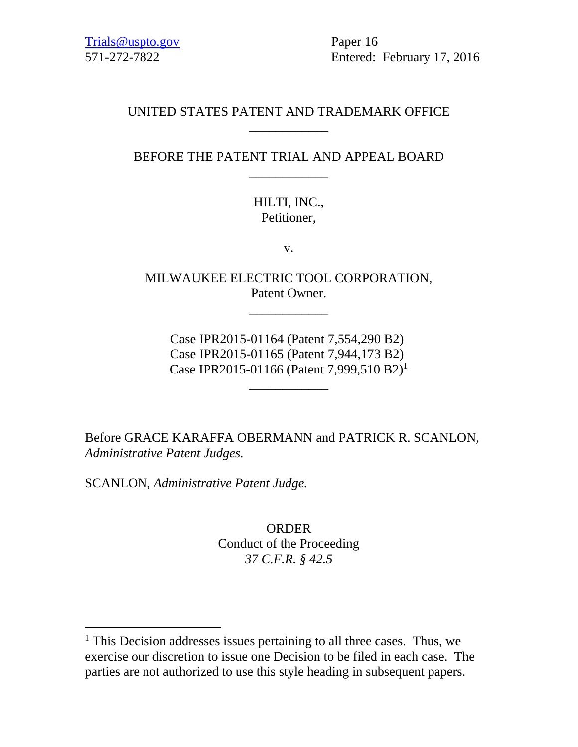571-272-7822 Entered: February 17, 2016

## UNITED STATES PATENT AND TRADEMARK OFFICE \_\_\_\_\_\_\_\_\_\_\_\_

## BEFORE THE PATENT TRIAL AND APPEAL BOARD \_\_\_\_\_\_\_\_\_\_\_\_

# HILTI, INC., Petitioner,

v.

MILWAUKEE ELECTRIC TOOL CORPORATION, Patent Owner.

\_\_\_\_\_\_\_\_\_\_\_\_

Case IPR2015-01164 (Patent 7,554,290 B2) Case IPR2015-01165 (Patent 7,944,173 B2) Case IPR2015-01166 (Patent 7,999,510 B2)1

\_\_\_\_\_\_\_\_\_\_\_\_

Before GRACE KARAFFA OBERMANN and PATRICK R. SCANLON, *Administrative Patent Judges.* 

SCANLON, *Administrative Patent Judge.* 

 $\overline{a}$ 

ORDER Conduct of the Proceeding *37 C.F.R. § 42.5*

<sup>&</sup>lt;sup>1</sup> This Decision addresses issues pertaining to all three cases. Thus, we exercise our discretion to issue one Decision to be filed in each case. The parties are not authorized to use this style heading in subsequent papers.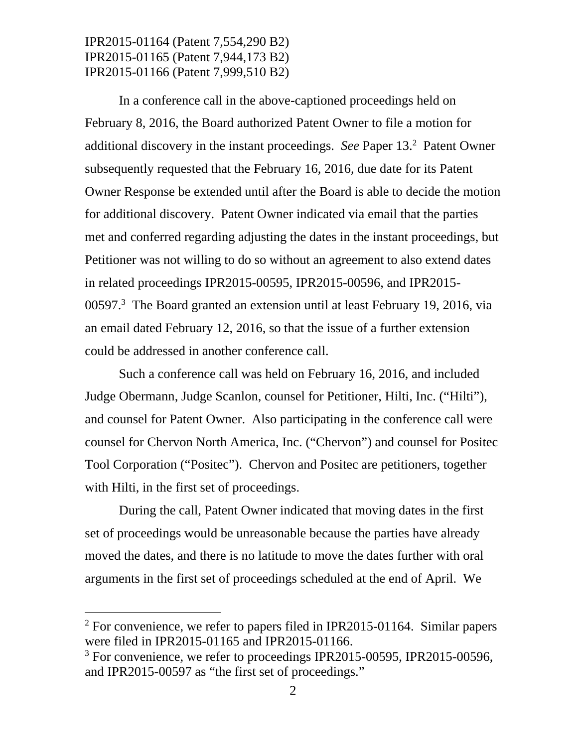In a conference call in the above-captioned proceedings held on February 8, 2016, the Board authorized Patent Owner to file a motion for additional discovery in the instant proceedings. See Paper 13.<sup>2</sup> Patent Owner subsequently requested that the February 16, 2016, due date for its Patent Owner Response be extended until after the Board is able to decide the motion for additional discovery. Patent Owner indicated via email that the parties met and conferred regarding adjusting the dates in the instant proceedings, but Petitioner was not willing to do so without an agreement to also extend dates in related proceedings IPR2015-00595, IPR2015-00596, and IPR2015- 00597.<sup>3</sup> The Board granted an extension until at least February 19, 2016, via an email dated February 12, 2016, so that the issue of a further extension could be addressed in another conference call.

Such a conference call was held on February 16, 2016, and included Judge Obermann, Judge Scanlon, counsel for Petitioner, Hilti, Inc. ("Hilti"), and counsel for Patent Owner. Also participating in the conference call were counsel for Chervon North America, Inc. ("Chervon") and counsel for Positec Tool Corporation ("Positec"). Chervon and Positec are petitioners, together with Hilti, in the first set of proceedings.

During the call, Patent Owner indicated that moving dates in the first set of proceedings would be unreasonable because the parties have already moved the dates, and there is no latitude to move the dates further with oral arguments in the first set of proceedings scheduled at the end of April. We

 $\overline{a}$ 

<sup>&</sup>lt;sup>2</sup> For convenience, we refer to papers filed in IPR2015-01164. Similar papers were filed in IPR2015-01165 and IPR2015-01166.

<sup>&</sup>lt;sup>3</sup> For convenience, we refer to proceedings IPR2015-00595, IPR2015-00596, and IPR2015-00597 as "the first set of proceedings."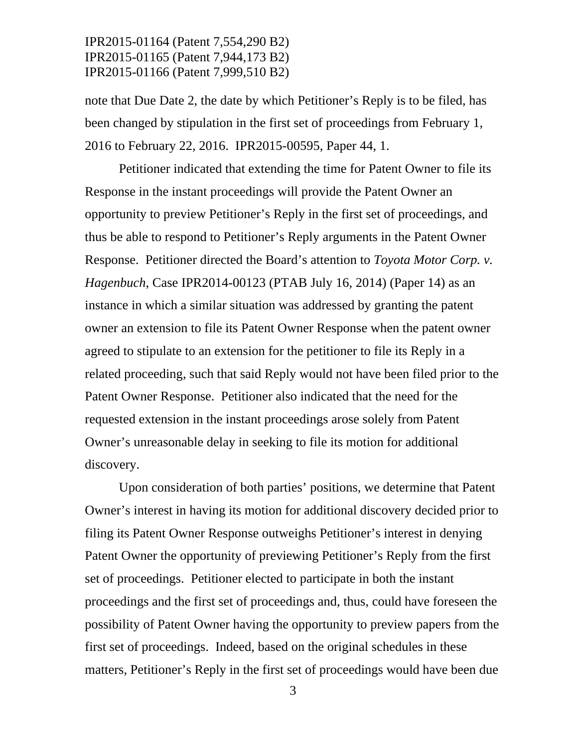note that Due Date 2, the date by which Petitioner's Reply is to be filed, has been changed by stipulation in the first set of proceedings from February 1, 2016 to February 22, 2016. IPR2015-00595, Paper 44, 1.

Petitioner indicated that extending the time for Patent Owner to file its Response in the instant proceedings will provide the Patent Owner an opportunity to preview Petitioner's Reply in the first set of proceedings, and thus be able to respond to Petitioner's Reply arguments in the Patent Owner Response. Petitioner directed the Board's attention to *Toyota Motor Corp. v. Hagenbuch*, Case IPR2014-00123 (PTAB July 16, 2014) (Paper 14) as an instance in which a similar situation was addressed by granting the patent owner an extension to file its Patent Owner Response when the patent owner agreed to stipulate to an extension for the petitioner to file its Reply in a related proceeding, such that said Reply would not have been filed prior to the Patent Owner Response. Petitioner also indicated that the need for the requested extension in the instant proceedings arose solely from Patent Owner's unreasonable delay in seeking to file its motion for additional discovery.

Upon consideration of both parties' positions, we determine that Patent Owner's interest in having its motion for additional discovery decided prior to filing its Patent Owner Response outweighs Petitioner's interest in denying Patent Owner the opportunity of previewing Petitioner's Reply from the first set of proceedings. Petitioner elected to participate in both the instant proceedings and the first set of proceedings and, thus, could have foreseen the possibility of Patent Owner having the opportunity to preview papers from the first set of proceedings. Indeed, based on the original schedules in these matters, Petitioner's Reply in the first set of proceedings would have been due

3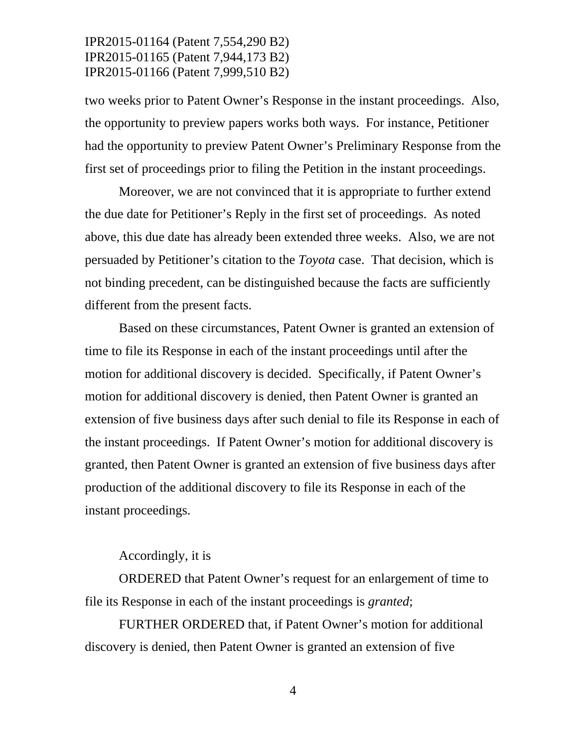two weeks prior to Patent Owner's Response in the instant proceedings. Also, the opportunity to preview papers works both ways. For instance, Petitioner had the opportunity to preview Patent Owner's Preliminary Response from the first set of proceedings prior to filing the Petition in the instant proceedings.

Moreover, we are not convinced that it is appropriate to further extend the due date for Petitioner's Reply in the first set of proceedings. As noted above, this due date has already been extended three weeks. Also, we are not persuaded by Petitioner's citation to the *Toyota* case. That decision, which is not binding precedent, can be distinguished because the facts are sufficiently different from the present facts.

Based on these circumstances, Patent Owner is granted an extension of time to file its Response in each of the instant proceedings until after the motion for additional discovery is decided. Specifically, if Patent Owner's motion for additional discovery is denied, then Patent Owner is granted an extension of five business days after such denial to file its Response in each of the instant proceedings. If Patent Owner's motion for additional discovery is granted, then Patent Owner is granted an extension of five business days after production of the additional discovery to file its Response in each of the instant proceedings.

#### Accordingly, it is

ORDERED that Patent Owner's request for an enlargement of time to file its Response in each of the instant proceedings is *granted*;

FURTHER ORDERED that, if Patent Owner's motion for additional discovery is denied, then Patent Owner is granted an extension of five

4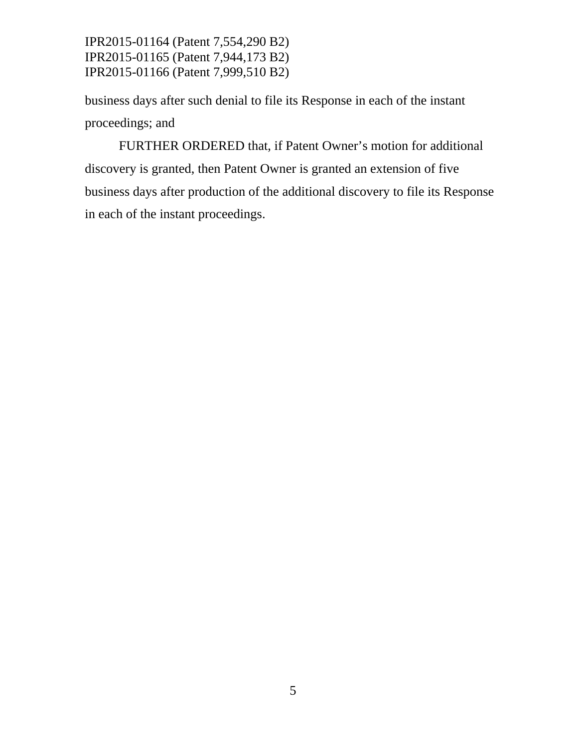business days after such denial to file its Response in each of the instant proceedings; and

FURTHER ORDERED that, if Patent Owner's motion for additional discovery is granted, then Patent Owner is granted an extension of five business days after production of the additional discovery to file its Response in each of the instant proceedings.